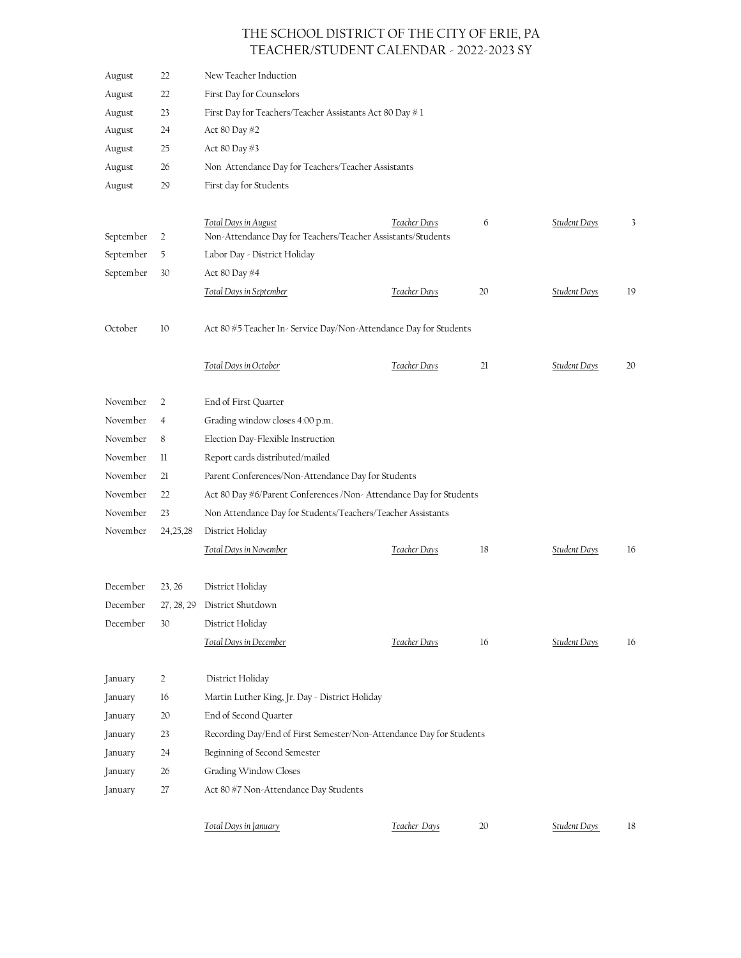## THE SCHOOL DISTRICT OF THE CITY OF ERIE, PA TEACHER/STUDENT CALENDAR - 2022-2023 SY

| August    | 22             | New Teacher Induction                                               |              |    |                     |    |  |  |  |  |  |
|-----------|----------------|---------------------------------------------------------------------|--------------|----|---------------------|----|--|--|--|--|--|
| August    | 22             | First Day for Counselors                                            |              |    |                     |    |  |  |  |  |  |
| August    | 23             | First Day for Teachers/Teacher Assistants Act 80 Day #1             |              |    |                     |    |  |  |  |  |  |
| August    | 24             | Act 80 Day #2                                                       |              |    |                     |    |  |  |  |  |  |
| August    | 25             | Act 80 Day #3                                                       |              |    |                     |    |  |  |  |  |  |
| August    | 26             | Non Attendance Day for Teachers/Teacher Assistants                  |              |    |                     |    |  |  |  |  |  |
| August    | 29             | First day for Students                                              |              |    |                     |    |  |  |  |  |  |
|           |                |                                                                     |              |    |                     |    |  |  |  |  |  |
|           |                | Total Days in August                                                | Teacher Days | 6  | Student Days        | 3  |  |  |  |  |  |
| September | 2              | Non-Attendance Day for Teachers/Teacher Assistants/Students         |              |    |                     |    |  |  |  |  |  |
| September | 5              | Labor Day - District Holiday                                        |              |    |                     |    |  |  |  |  |  |
| September | 30             | Act 80 Day #4                                                       |              |    |                     |    |  |  |  |  |  |
|           |                | Total Days in September                                             | Teacher Days | 20 | <b>Student Days</b> | 19 |  |  |  |  |  |
| October   | 10             | Act 80 #5 Teacher In-Service Day/Non-Attendance Day for Students    |              |    |                     |    |  |  |  |  |  |
|           |                | <b>Total Days in October</b>                                        | Teacher Days | 21 | <b>Student Days</b> | 20 |  |  |  |  |  |
|           |                |                                                                     |              |    |                     |    |  |  |  |  |  |
| November  | 2              | End of First Quarter                                                |              |    |                     |    |  |  |  |  |  |
| November  | $\overline{4}$ | Grading window closes 4:00 p.m.                                     |              |    |                     |    |  |  |  |  |  |
| November  | 8              | Election Day-Flexible Instruction                                   |              |    |                     |    |  |  |  |  |  |
| November  | $_{\rm ll}$    | Report cards distributed/mailed                                     |              |    |                     |    |  |  |  |  |  |
| November  | 21             | Parent Conferences/Non-Attendance Day for Students                  |              |    |                     |    |  |  |  |  |  |
| November  | 22             | Act 80 Day #6/Parent Conferences / Non-Attendance Day for Students  |              |    |                     |    |  |  |  |  |  |
| November  | 23             | Non Attendance Day for Students/Teachers/Teacher Assistants         |              |    |                     |    |  |  |  |  |  |
| November  | 24, 25, 28     | District Holiday                                                    |              |    |                     |    |  |  |  |  |  |
|           |                | <b>Total Days in November</b>                                       | Teacher Days | 18 | <b>Student Days</b> | 16 |  |  |  |  |  |
| December  | 23, 26         | District Holiday                                                    |              |    |                     |    |  |  |  |  |  |
| December  |                | 27, 28, 29 District Shutdown                                        |              |    |                     |    |  |  |  |  |  |
| December  | 30             | District Holiday                                                    |              |    |                     |    |  |  |  |  |  |
|           |                | Total Days in December                                              | Teacher Days | 16 | Student Days        | 16 |  |  |  |  |  |
| January   | 2              | District Holiday                                                    |              |    |                     |    |  |  |  |  |  |
| January   | 16             | Martin Luther King, Jr. Day - District Holiday                      |              |    |                     |    |  |  |  |  |  |
| January   | 20             | End of Second Quarter                                               |              |    |                     |    |  |  |  |  |  |
| January   | 23             | Recording Day/End of First Semester/Non-Attendance Day for Students |              |    |                     |    |  |  |  |  |  |
| January   | 24             | Beginning of Second Semester                                        |              |    |                     |    |  |  |  |  |  |
| January   | 26             | Grading Window Closes                                               |              |    |                     |    |  |  |  |  |  |
| January   | 27             | Act 80 #7 Non-Attendance Day Students                               |              |    |                     |    |  |  |  |  |  |
|           |                | Total Days in January                                               | Teacher Days | 20 | <b>Student Days</b> | 18 |  |  |  |  |  |